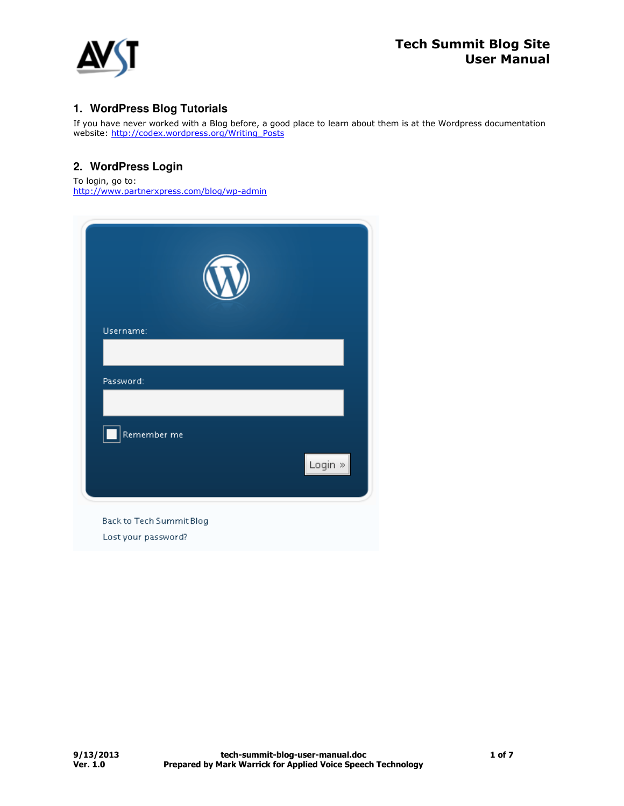

# **1. WordPress Blog Tutorials**

If you have never worked with a Blog before, a good place to learn about them is at the Wordpress documentation website: <u>http://codex.wordpress.org/Writing\_Posts</u>

## **2. WordPress Login**

To login, go to: http://www.partnerxpress.com/blog/wp-admin

| Username:   |                |
|-------------|----------------|
|             |                |
| Password:   |                |
|             |                |
| Remember me |                |
|             | Login $\infty$ |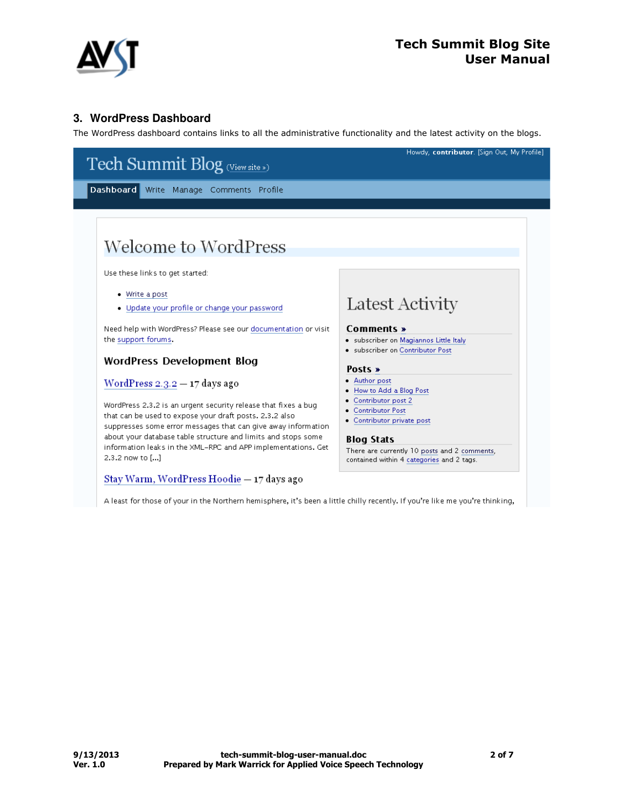

## **3. WordPress Dashboard**

The WordPress dashboard contains links to all the administrative functionality and the latest activity on the blogs.



A least for those of your in the Northern hemisphere, it's been a little chilly recently. If you're like me you're thinking,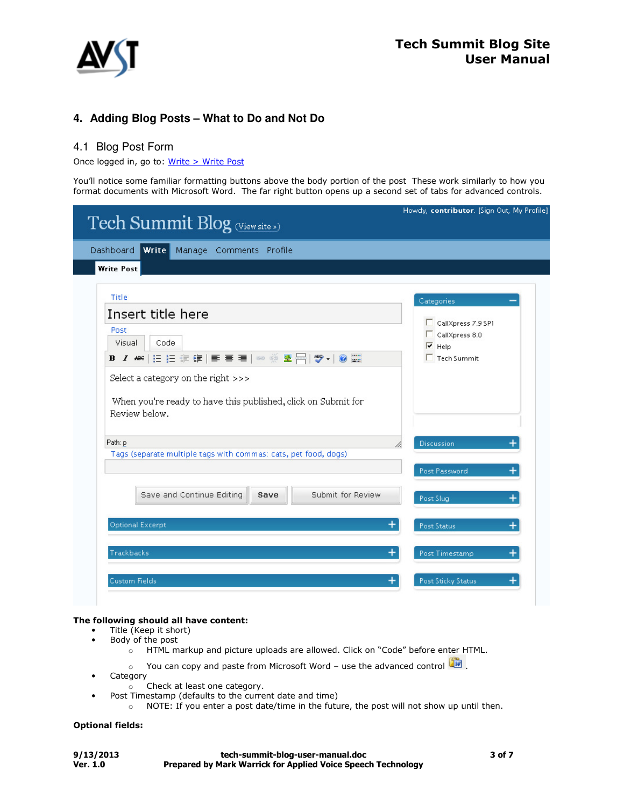

## **4. Adding Blog Posts – What to Do and Not Do**

## 4.1 Blog Post Form

Once logged in, go to: Write > Write Post

You'll notice some familiar formatting buttons above the body portion of the post These work similarly to how you format documents with Microsoft Word. The far right button opens up a second set of tabs for advanced controls.

|                   | Tech Summit Blog (View site »)                                                                                       | Howdy, contributor. [Sign Out, My Profile] |
|-------------------|----------------------------------------------------------------------------------------------------------------------|--------------------------------------------|
| <b>Dashboard</b>  | Write Manage Comments Profile                                                                                        |                                            |
| <b>Write Post</b> |                                                                                                                      |                                            |
| Title             |                                                                                                                      | Categories                                 |
|                   | Insert title here                                                                                                    |                                            |
| Post              |                                                                                                                      | CallXpress 7.9 SP1<br>CallXpress 8.0       |
| Visual            | Code                                                                                                                 | $\overline{\triangledown}$ Help            |
|                   | B Z ₩ ⊟ ⊟ ≢ ⊈ ≣ ≣ ≣ ∞ ▒ ® 合  ♥ -  ◎ ▒                                                                                | $\Gamma$ Tech Summit                       |
|                   | Select a category on the right >>><br>When you're ready to have this published, click on Submit for<br>Review below. |                                            |
|                   |                                                                                                                      |                                            |
| Path: p           | Tags (separate multiple tags with commas: cats, pet food, dogs)                                                      | <b>Discussion</b>                          |
|                   |                                                                                                                      | Post Password<br>$\ddot{}$                 |
|                   | Save and Continue Editing<br>Submit for Review<br>Save                                                               | Post Slug<br>$\ddot{}$                     |
|                   | Optional Excerpt                                                                                                     | Post Status                                |
| Trackbacks        | +                                                                                                                    | Post Timestamp<br>$\ddot{}$                |

### The following should all have content:

- Title (Keep it short)
- Body of the post
	- $\sim$  HTML markup and picture uploads are allowed. Click on "Code" before enter HTML.
	- $\circ$  You can copy and paste from Microsoft Word use the advanced control  $\Box$ .
- Category
	- o Check at least one category.
- Post Timestamp (defaults to the current date and time)
	- o NOTE: If you enter a post date/time in the future, the post will not show up until then.

### Optional fields:

| 9/13/2013 | tech-summit-blog-user-manual.doc                                    | 3 of 7 |
|-----------|---------------------------------------------------------------------|--------|
| Ver. 1.0  | <b>Prepared by Mark Warrick for Applied Voice Speech Technology</b> |        |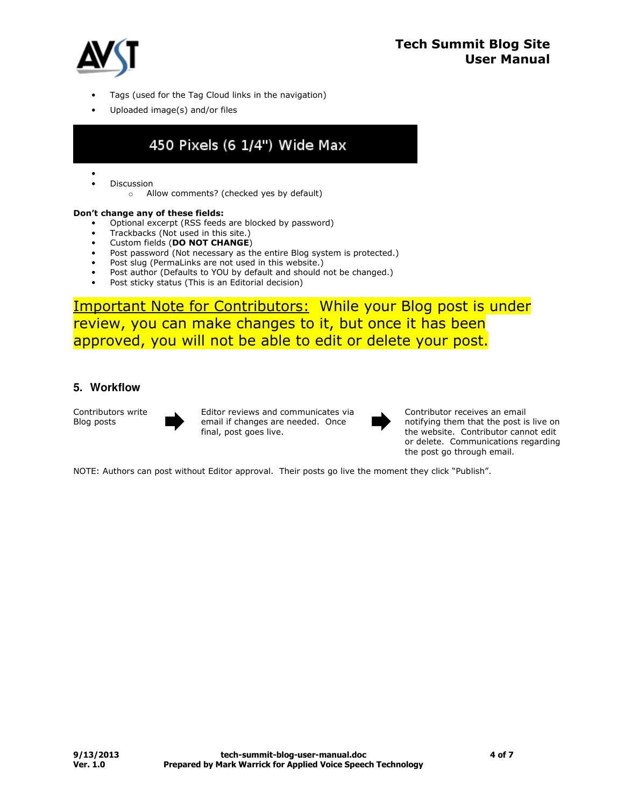

- Tags (used for the Tag Cloud links in the navigation)
- Uploaded image(s) and/or files

# 450 Pixels (6 1/4") Wide Max

- **Discussion** 
	- o Allow comments? (checked yes by default)

### Don't change any of these fields:

- Optional excerpt (RSS feeds are blocked by password)
- Trackbacks (Not used in this site.)
- Custom fields (DO NOT CHANGE)
- Post password (Not necessary as the entire Blog system is protected.)
- Post slug (PermaLinks are not used in this website.)
- Post author (Defaults to YOU by default and should not be changed.)
- Post sticky status (This is an Editorial decision)

Important Note for Contributors: While your Blog post is under review, you can make changes to it, but once it has been approved, you will not be able to edit or delete your post.

### **5. Workflow**

Contributors write Blog posts



Editor reviews and communicates via<br>email if changes are needed. Once<br>final, post goes live. email if changes are needed. Once



Contributor receives an email notifying them that the post is live on the website. Contributor cannot edit or delete. Communications regarding the post go through email.

NOTE: Authors can post without Editor approval. Their posts go live the moment they click "Publish".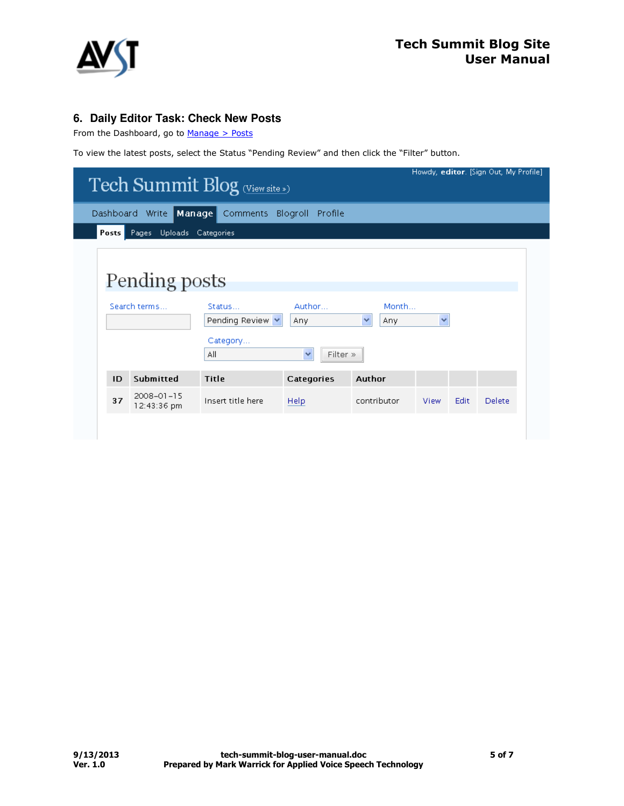

## **6. Daily Editor Task: Check New Posts**

From the Dashboard, go to  $Manage > Posts$ 

To view the latest posts, select the Status "Pending Review" and then click the "Filter" button.

| Howdy, editor. [Sign Out, My Profile]<br>Tech Summit Blog (View site ») |                                                              |                                            |                               |      |      |        |
|-------------------------------------------------------------------------|--------------------------------------------------------------|--------------------------------------------|-------------------------------|------|------|--------|
|                                                                         | Manage<br>Dashboard Write<br>Blogroll<br>Comments<br>Profile |                                            |                               |      |      |        |
| Posts<br>Pages                                                          | Uploads<br>Categories                                        |                                            |                               |      |      |        |
| Pending posts<br>Search terms                                           | Status<br>Pending Review $\vee$<br>Category<br>All           | Author<br>Any.<br>$\checkmark$<br>Filter » | Month<br>$\checkmark$<br>Any. | ×    |      |        |
| Submitted<br>ID                                                         | Title                                                        | Categories                                 | Author                        |      |      |        |
| $2008 - 01 - 15$<br>37<br>12:43:36 pm                                   | Insert title here                                            | Help                                       | contributor                   | View | Edit | Delete |
|                                                                         |                                                              |                                            |                               |      |      |        |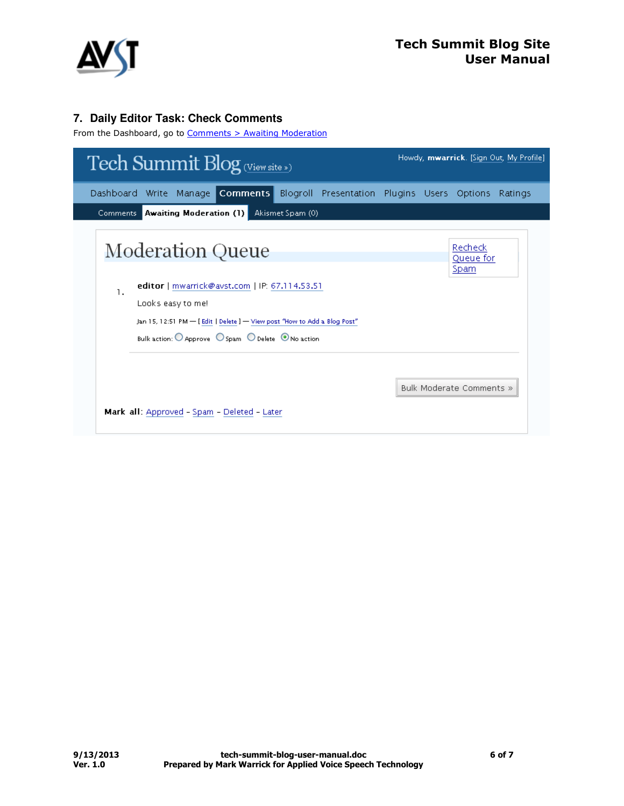

## **7. Daily Editor Task: Check Comments**

From the Dashboard, go to Comments > Awaiting Moderation

| <b>Tech Summit Blog</b> (View site »)                                                                                                                                                                                                                                     | Howdy, mwarrick. [Sign Out, My Profile]                |
|---------------------------------------------------------------------------------------------------------------------------------------------------------------------------------------------------------------------------------------------------------------------------|--------------------------------------------------------|
| Manage Comments<br>Dashboard Write                                                                                                                                                                                                                                        | Blogroll Presentation Plugins Users Options<br>Ratings |
| Comments Awaiting Moderation (1)<br>Akismet Spam (0)                                                                                                                                                                                                                      |                                                        |
| <b>Moderation Queue</b><br>editor   mwarrick@avst.com   IP: 67.114.53.51<br>1.<br>Looks easy to me!<br>Jan 15, 12:51 PM - [Edit   Delete ] - View post "How to Add a Blog Post"<br>Bulk action: $\bigcirc$ Approve $\bigcirc$ Spam $\bigcirc$ Delete $\bigcirc$ No action | Recheck<br>Queue for<br>Spam                           |
| Mark all: Approved - Spam - Deleted - Later                                                                                                                                                                                                                               | Bulk Moderate Comments »                               |